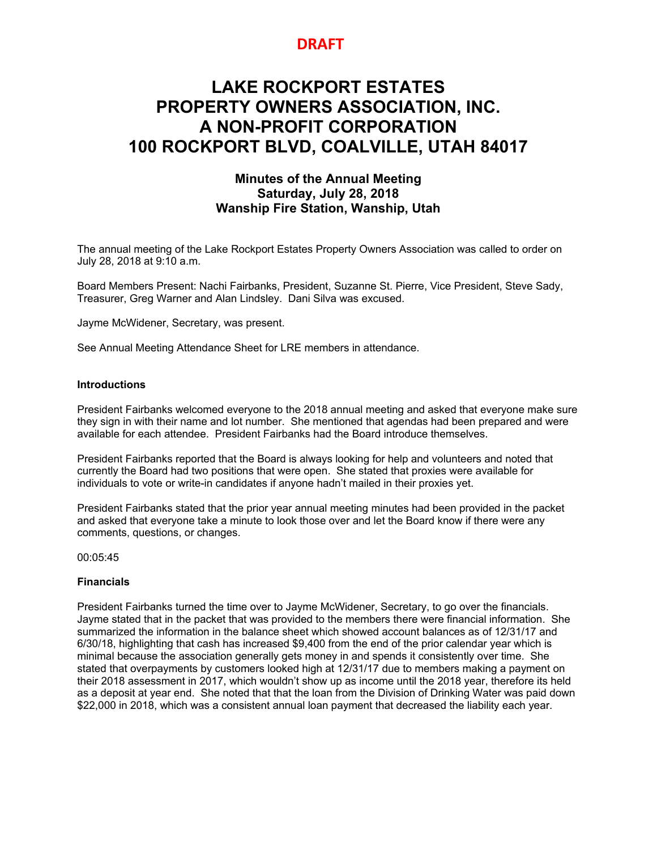# **DRAFT**

# **LAKE ROCKPORT ESTATES PROPERTY OWNERS ASSOCIATION, INC. A NON-PROFIT CORPORATION 100 ROCKPORT BLVD, COALVILLE, UTAH 84017**

# **Minutes of the Annual Meeting Saturday, July 28, 2018 Wanship Fire Station, Wanship, Utah**

The annual meeting of the Lake Rockport Estates Property Owners Association was called to order on July 28, 2018 at 9:10 a.m.

Board Members Present: Nachi Fairbanks, President, Suzanne St. Pierre, Vice President, Steve Sady, Treasurer, Greg Warner and Alan Lindsley. Dani Silva was excused.

Jayme McWidener, Secretary, was present.

See Annual Meeting Attendance Sheet for LRE members in attendance.

#### **Introductions**

President Fairbanks welcomed everyone to the 2018 annual meeting and asked that everyone make sure they sign in with their name and lot number. She mentioned that agendas had been prepared and were available for each attendee. President Fairbanks had the Board introduce themselves.

President Fairbanks reported that the Board is always looking for help and volunteers and noted that currently the Board had two positions that were open. She stated that proxies were available for individuals to vote or write-in candidates if anyone hadn't mailed in their proxies yet.

President Fairbanks stated that the prior year annual meeting minutes had been provided in the packet and asked that everyone take a minute to look those over and let the Board know if there were any comments, questions, or changes.

00:05:45

#### **Financials**

President Fairbanks turned the time over to Jayme McWidener, Secretary, to go over the financials. Jayme stated that in the packet that was provided to the members there were financial information. She summarized the information in the balance sheet which showed account balances as of 12/31/17 and 6/30/18, highlighting that cash has increased \$9,400 from the end of the prior calendar year which is minimal because the association generally gets money in and spends it consistently over time. She stated that overpayments by customers looked high at 12/31/17 due to members making a payment on their 2018 assessment in 2017, which wouldn't show up as income until the 2018 year, therefore its held as a deposit at year end. She noted that that the loan from the Division of Drinking Water was paid down \$22,000 in 2018, which was a consistent annual loan payment that decreased the liability each year.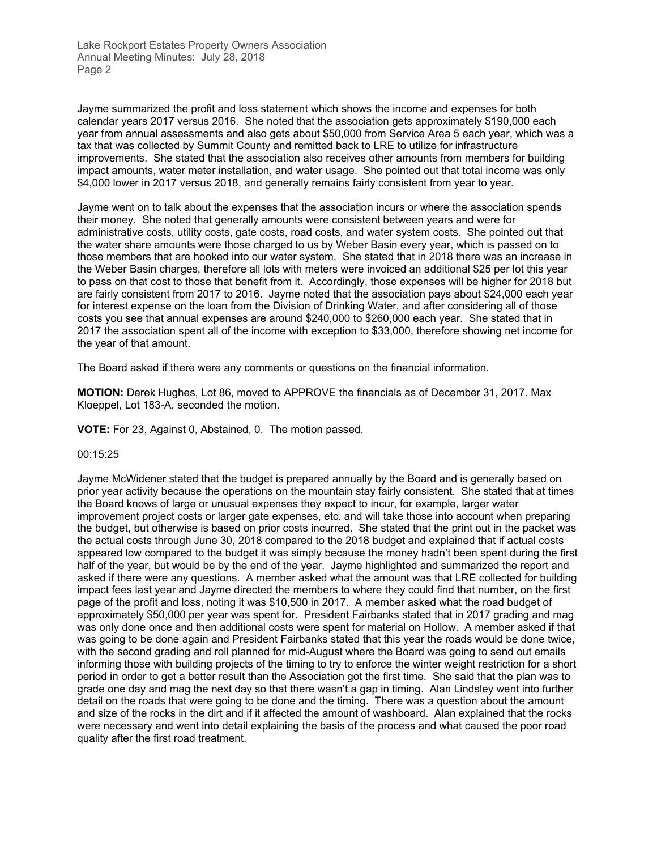Jayme summarized the profit and loss statement which shows the income and expenses for both calendar years 2017 versus 2016. She noted that the association gets approximately \$190,000 each year from annual assessments and also gets about \$50,000 from Service Area 5 each year, which was a tax that was collected by Summit County and remitted back to LRE to utilize for infrastructure improvements. She stated that the association also receives other amounts from members for building impact amounts, water meter installation, and water usage. She pointed out that total income was only \$4,000 lower in 2017 versus 2018, and generally remains fairly consistent from year to year.

Jayme went on to talk about the expenses that the association incurs or where the association spends their money. She noted that generally amounts were consistent between years and were for administrative costs, utility costs, gate costs, road costs, and water system costs. She pointed out that the water share amounts were those charged to us by Weber Basin every year, which is passed on to those members that are hooked into our water system. She stated that in 2018 there was an increase in the Weber Basin charges, therefore all lots with meters were invoiced an additional \$25 per lot this year to pass on that cost to those that benefit from it. Accordingly, those expenses will be higher for 2018 but are fairly consistent from 2017 to 2016. Jayme noted that the association pays about \$24,000 each year for interest expense on the loan from the Division of Drinking Water, and after considering all of those costs you see that annual expenses are around \$240,000 to \$260,000 each year. She stated that in 2017 the association spent all of the income with exception to \$33,000, therefore showing net income for the year of that amount.

The Board asked if there were any comments or questions on the financial information.

**MOTION:** Derek Hughes, Lot 86, moved to APPROVE the financials as of December 31, 2017. Max Kloeppel, Lot 183-A, seconded the motion.

**VOTE:** For 23, Against 0, Abstained, 0. The motion passed.

#### 00:15:25

Jayme McWidener stated that the budget is prepared annually by the Board and is generally based on prior year activity because the operations on the mountain stay fairly consistent. She stated that at times the Board knows of large or unusual expenses they expect to incur, for example, larger water improvement project costs or larger gate expenses, etc. and will take those into account when preparing the budget, but otherwise is based on prior costs incurred. She stated that the print out in the packet was the actual costs through June 30, 2018 compared to the 2018 budget and explained that if actual costs appeared low compared to the budget it was simply because the money hadn't been spent during the first half of the year, but would be by the end of the year. Jayme highlighted and summarized the report and asked if there were any questions. A member asked what the amount was that LRE collected for building impact fees last year and Jayme directed the members to where they could find that number, on the first page of the profit and loss, noting it was \$10,500 in 2017. A member asked what the road budget of approximately \$50,000 per year was spent for. President Fairbanks stated that in 2017 grading and mag was only done once and then additional costs were spent for material on Hollow. A member asked if that was going to be done again and President Fairbanks stated that this year the roads would be done twice, with the second grading and roll planned for mid-August where the Board was going to send out emails informing those with building projects of the timing to try to enforce the winter weight restriction for a short period in order to get a better result than the Association got the first time. She said that the plan was to grade one day and mag the next day so that there wasn't a gap in timing. Alan Lindsley went into further detail on the roads that were going to be done and the timing. There was a question about the amount and size of the rocks in the dirt and if it affected the amount of washboard. Alan explained that the rocks were necessary and went into detail explaining the basis of the process and what caused the poor road quality after the first road treatment.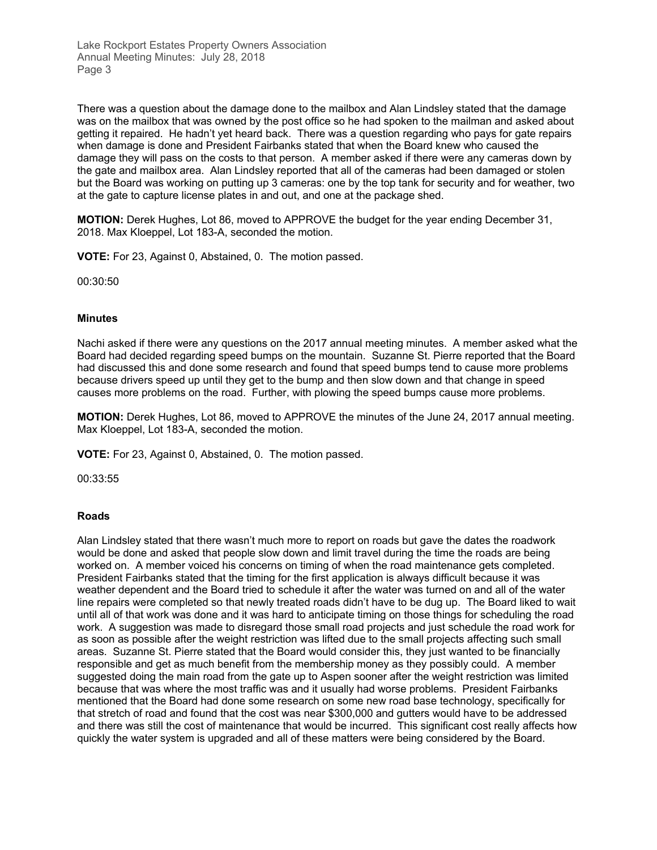There was a question about the damage done to the mailbox and Alan Lindsley stated that the damage was on the mailbox that was owned by the post office so he had spoken to the mailman and asked about getting it repaired. He hadn't yet heard back. There was a question regarding who pays for gate repairs when damage is done and President Fairbanks stated that when the Board knew who caused the damage they will pass on the costs to that person. A member asked if there were any cameras down by the gate and mailbox area. Alan Lindsley reported that all of the cameras had been damaged or stolen but the Board was working on putting up 3 cameras: one by the top tank for security and for weather, two at the gate to capture license plates in and out, and one at the package shed.

**MOTION:** Derek Hughes, Lot 86, moved to APPROVE the budget for the year ending December 31, 2018. Max Kloeppel, Lot 183-A, seconded the motion.

**VOTE:** For 23, Against 0, Abstained, 0. The motion passed.

00:30:50

#### **Minutes**

Nachi asked if there were any questions on the 2017 annual meeting minutes. A member asked what the Board had decided regarding speed bumps on the mountain. Suzanne St. Pierre reported that the Board had discussed this and done some research and found that speed bumps tend to cause more problems because drivers speed up until they get to the bump and then slow down and that change in speed causes more problems on the road. Further, with plowing the speed bumps cause more problems.

**MOTION:** Derek Hughes, Lot 86, moved to APPROVE the minutes of the June 24, 2017 annual meeting. Max Kloeppel, Lot 183-A, seconded the motion.

**VOTE:** For 23, Against 0, Abstained, 0. The motion passed.

00:33:55

#### **Roads**

Alan Lindsley stated that there wasn't much more to report on roads but gave the dates the roadwork would be done and asked that people slow down and limit travel during the time the roads are being worked on. A member voiced his concerns on timing of when the road maintenance gets completed. President Fairbanks stated that the timing for the first application is always difficult because it was weather dependent and the Board tried to schedule it after the water was turned on and all of the water line repairs were completed so that newly treated roads didn't have to be dug up. The Board liked to wait until all of that work was done and it was hard to anticipate timing on those things for scheduling the road work. A suggestion was made to disregard those small road projects and just schedule the road work for as soon as possible after the weight restriction was lifted due to the small projects affecting such small areas. Suzanne St. Pierre stated that the Board would consider this, they just wanted to be financially responsible and get as much benefit from the membership money as they possibly could. A member suggested doing the main road from the gate up to Aspen sooner after the weight restriction was limited because that was where the most traffic was and it usually had worse problems. President Fairbanks mentioned that the Board had done some research on some new road base technology, specifically for that stretch of road and found that the cost was near \$300,000 and gutters would have to be addressed and there was still the cost of maintenance that would be incurred. This significant cost really affects how quickly the water system is upgraded and all of these matters were being considered by the Board.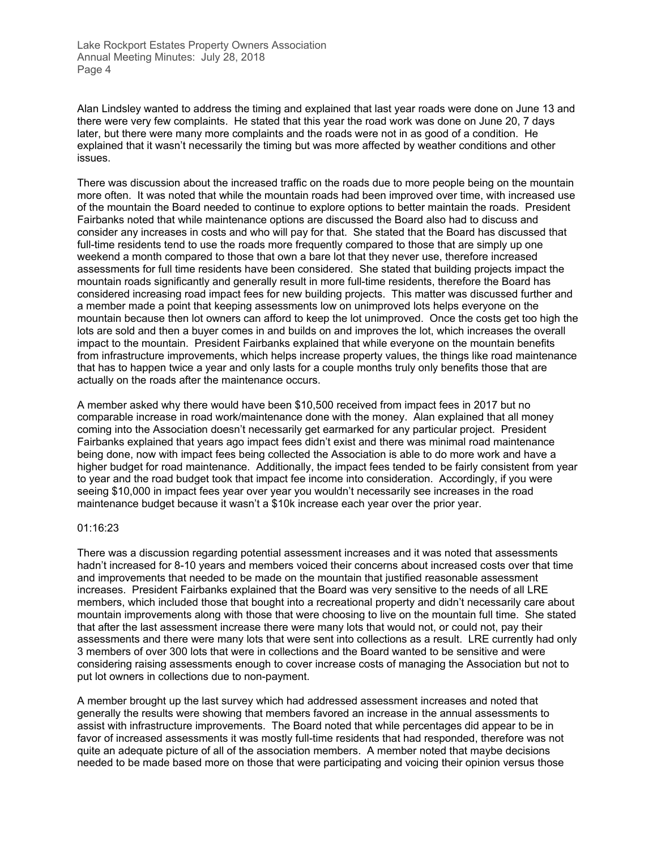Alan Lindsley wanted to address the timing and explained that last year roads were done on June 13 and there were very few complaints. He stated that this year the road work was done on June 20, 7 days later, but there were many more complaints and the roads were not in as good of a condition. He explained that it wasn't necessarily the timing but was more affected by weather conditions and other issues.

There was discussion about the increased traffic on the roads due to more people being on the mountain more often. It was noted that while the mountain roads had been improved over time, with increased use of the mountain the Board needed to continue to explore options to better maintain the roads. President Fairbanks noted that while maintenance options are discussed the Board also had to discuss and consider any increases in costs and who will pay for that. She stated that the Board has discussed that full-time residents tend to use the roads more frequently compared to those that are simply up one weekend a month compared to those that own a bare lot that they never use, therefore increased assessments for full time residents have been considered. She stated that building projects impact the mountain roads significantly and generally result in more full-time residents, therefore the Board has considered increasing road impact fees for new building projects. This matter was discussed further and a member made a point that keeping assessments low on unimproved lots helps everyone on the mountain because then lot owners can afford to keep the lot unimproved. Once the costs get too high the lots are sold and then a buyer comes in and builds on and improves the lot, which increases the overall impact to the mountain. President Fairbanks explained that while everyone on the mountain benefits from infrastructure improvements, which helps increase property values, the things like road maintenance that has to happen twice a year and only lasts for a couple months truly only benefits those that are actually on the roads after the maintenance occurs.

A member asked why there would have been \$10,500 received from impact fees in 2017 but no comparable increase in road work/maintenance done with the money. Alan explained that all money coming into the Association doesn't necessarily get earmarked for any particular project. President Fairbanks explained that years ago impact fees didn't exist and there was minimal road maintenance being done, now with impact fees being collected the Association is able to do more work and have a higher budget for road maintenance. Additionally, the impact fees tended to be fairly consistent from year to year and the road budget took that impact fee income into consideration. Accordingly, if you were seeing \$10,000 in impact fees year over year you wouldn't necessarily see increases in the road maintenance budget because it wasn't a \$10k increase each year over the prior year.

#### 01:16:23

There was a discussion regarding potential assessment increases and it was noted that assessments hadn't increased for 8-10 years and members voiced their concerns about increased costs over that time and improvements that needed to be made on the mountain that justified reasonable assessment increases. President Fairbanks explained that the Board was very sensitive to the needs of all LRE members, which included those that bought into a recreational property and didn't necessarily care about mountain improvements along with those that were choosing to live on the mountain full time. She stated that after the last assessment increase there were many lots that would not, or could not, pay their assessments and there were many lots that were sent into collections as a result. LRE currently had only 3 members of over 300 lots that were in collections and the Board wanted to be sensitive and were considering raising assessments enough to cover increase costs of managing the Association but not to put lot owners in collections due to non-payment.

A member brought up the last survey which had addressed assessment increases and noted that generally the results were showing that members favored an increase in the annual assessments to assist with infrastructure improvements. The Board noted that while percentages did appear to be in favor of increased assessments it was mostly full-time residents that had responded, therefore was not quite an adequate picture of all of the association members. A member noted that maybe decisions needed to be made based more on those that were participating and voicing their opinion versus those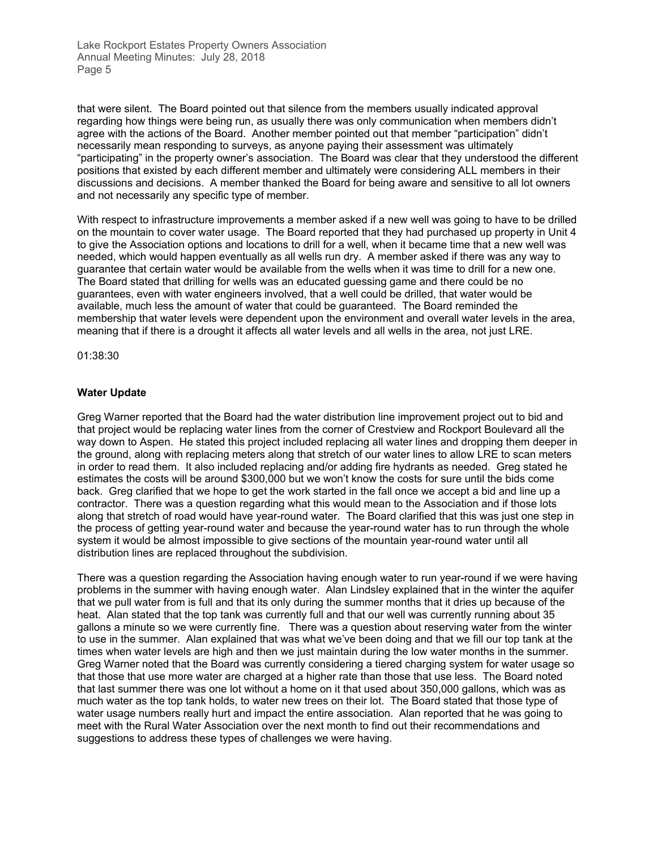that were silent. The Board pointed out that silence from the members usually indicated approval regarding how things were being run, as usually there was only communication when members didn't agree with the actions of the Board. Another member pointed out that member "participation" didn't necessarily mean responding to surveys, as anyone paying their assessment was ultimately "participating" in the property owner's association. The Board was clear that they understood the different positions that existed by each different member and ultimately were considering ALL members in their discussions and decisions. A member thanked the Board for being aware and sensitive to all lot owners and not necessarily any specific type of member.

With respect to infrastructure improvements a member asked if a new well was going to have to be drilled on the mountain to cover water usage. The Board reported that they had purchased up property in Unit 4 to give the Association options and locations to drill for a well, when it became time that a new well was needed, which would happen eventually as all wells run dry. A member asked if there was any way to guarantee that certain water would be available from the wells when it was time to drill for a new one. The Board stated that drilling for wells was an educated guessing game and there could be no guarantees, even with water engineers involved, that a well could be drilled, that water would be available, much less the amount of water that could be guaranteed. The Board reminded the membership that water levels were dependent upon the environment and overall water levels in the area, meaning that if there is a drought it affects all water levels and all wells in the area, not just LRE.

01:38:30

## **Water Update**

Greg Warner reported that the Board had the water distribution line improvement project out to bid and that project would be replacing water lines from the corner of Crestview and Rockport Boulevard all the way down to Aspen. He stated this project included replacing all water lines and dropping them deeper in the ground, along with replacing meters along that stretch of our water lines to allow LRE to scan meters in order to read them. It also included replacing and/or adding fire hydrants as needed. Greg stated he estimates the costs will be around \$300,000 but we won't know the costs for sure until the bids come back. Greg clarified that we hope to get the work started in the fall once we accept a bid and line up a contractor. There was a question regarding what this would mean to the Association and if those lots along that stretch of road would have year-round water. The Board clarified that this was just one step in the process of getting year-round water and because the year-round water has to run through the whole system it would be almost impossible to give sections of the mountain year-round water until all distribution lines are replaced throughout the subdivision.

There was a question regarding the Association having enough water to run year-round if we were having problems in the summer with having enough water. Alan Lindsley explained that in the winter the aquifer that we pull water from is full and that its only during the summer months that it dries up because of the heat. Alan stated that the top tank was currently full and that our well was currently running about 35 gallons a minute so we were currently fine. There was a question about reserving water from the winter to use in the summer. Alan explained that was what we've been doing and that we fill our top tank at the times when water levels are high and then we just maintain during the low water months in the summer. Greg Warner noted that the Board was currently considering a tiered charging system for water usage so that those that use more water are charged at a higher rate than those that use less. The Board noted that last summer there was one lot without a home on it that used about 350,000 gallons, which was as much water as the top tank holds, to water new trees on their lot. The Board stated that those type of water usage numbers really hurt and impact the entire association. Alan reported that he was going to meet with the Rural Water Association over the next month to find out their recommendations and suggestions to address these types of challenges we were having.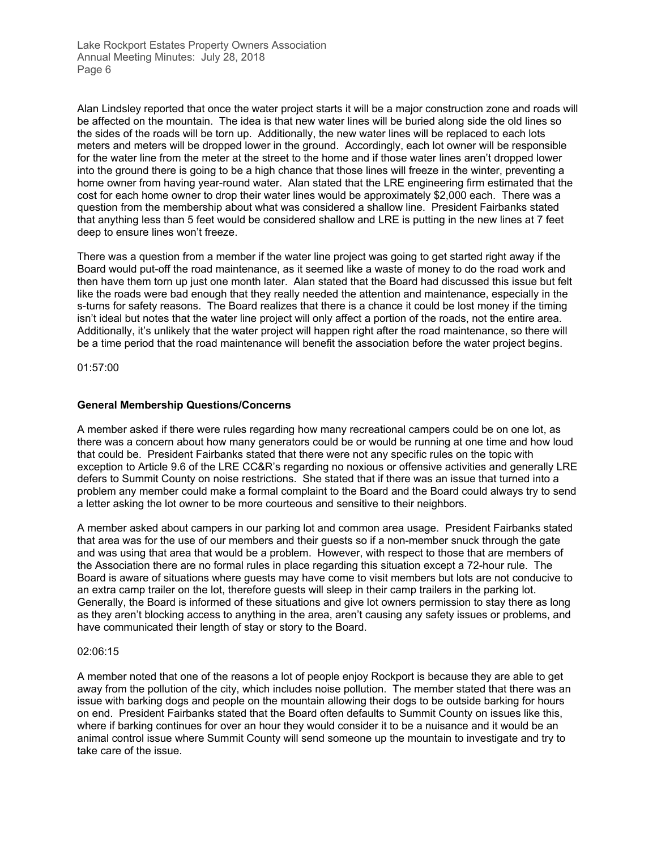Alan Lindsley reported that once the water project starts it will be a major construction zone and roads will be affected on the mountain. The idea is that new water lines will be buried along side the old lines so the sides of the roads will be torn up. Additionally, the new water lines will be replaced to each lots meters and meters will be dropped lower in the ground. Accordingly, each lot owner will be responsible for the water line from the meter at the street to the home and if those water lines aren't dropped lower into the ground there is going to be a high chance that those lines will freeze in the winter, preventing a home owner from having year-round water. Alan stated that the LRE engineering firm estimated that the cost for each home owner to drop their water lines would be approximately \$2,000 each. There was a question from the membership about what was considered a shallow line. President Fairbanks stated that anything less than 5 feet would be considered shallow and LRE is putting in the new lines at 7 feet deep to ensure lines won't freeze.

There was a question from a member if the water line project was going to get started right away if the Board would put-off the road maintenance, as it seemed like a waste of money to do the road work and then have them torn up just one month later. Alan stated that the Board had discussed this issue but felt like the roads were bad enough that they really needed the attention and maintenance, especially in the s-turns for safety reasons. The Board realizes that there is a chance it could be lost money if the timing isn't ideal but notes that the water line project will only affect a portion of the roads, not the entire area. Additionally, it's unlikely that the water project will happen right after the road maintenance, so there will be a time period that the road maintenance will benefit the association before the water project begins.

01:57:00

## **General Membership Questions/Concerns**

A member asked if there were rules regarding how many recreational campers could be on one lot, as there was a concern about how many generators could be or would be running at one time and how loud that could be. President Fairbanks stated that there were not any specific rules on the topic with exception to Article 9.6 of the LRE CC&R's regarding no noxious or offensive activities and generally LRE defers to Summit County on noise restrictions. She stated that if there was an issue that turned into a problem any member could make a formal complaint to the Board and the Board could always try to send a letter asking the lot owner to be more courteous and sensitive to their neighbors.

A member asked about campers in our parking lot and common area usage. President Fairbanks stated that area was for the use of our members and their guests so if a non-member snuck through the gate and was using that area that would be a problem. However, with respect to those that are members of the Association there are no formal rules in place regarding this situation except a 72-hour rule. The Board is aware of situations where guests may have come to visit members but lots are not conducive to an extra camp trailer on the lot, therefore guests will sleep in their camp trailers in the parking lot. Generally, the Board is informed of these situations and give lot owners permission to stay there as long as they aren't blocking access to anything in the area, aren't causing any safety issues or problems, and have communicated their length of stay or story to the Board.

#### 02:06:15

A member noted that one of the reasons a lot of people enjoy Rockport is because they are able to get away from the pollution of the city, which includes noise pollution. The member stated that there was an issue with barking dogs and people on the mountain allowing their dogs to be outside barking for hours on end. President Fairbanks stated that the Board often defaults to Summit County on issues like this, where if barking continues for over an hour they would consider it to be a nuisance and it would be an animal control issue where Summit County will send someone up the mountain to investigate and try to take care of the issue.